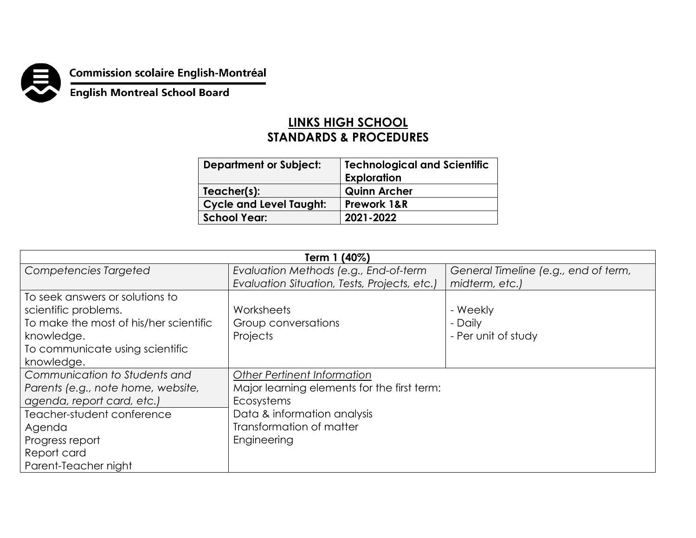

## **Commission scolaire English-Montréal<br>English Montreal School Board**

## **LINKS HIGH SCHOOL STANDARDS & PROCEDURES**

| <b>Technological and Scientific</b><br><b>Exploration</b> |
|-----------------------------------------------------------|
| <b>Quinn Archer</b>                                       |
| <b>Prework 1&amp;R</b>                                    |
| 2021-2022                                                 |
|                                                           |

| Term 1 (40%)                           |                                              |                                      |  |
|----------------------------------------|----------------------------------------------|--------------------------------------|--|
| Competencies Targeted                  | Evaluation Methods (e.g., End-of-term        | General Timeline (e.g., end of term, |  |
|                                        | Evaluation Situation, Tests, Projects, etc.) | midterm, etc.)                       |  |
| To seek answers or solutions to        |                                              |                                      |  |
| scientific problems.                   | Worksheets                                   | - Weekly                             |  |
| To make the most of his/her scientific | Group conversations                          | - Daily                              |  |
| knowledge.                             | Projects                                     | - Per unit of study                  |  |
| To communicate using scientific        |                                              |                                      |  |
| knowledge.                             |                                              |                                      |  |
| Communication to Students and          | <b>Other Pertinent Information</b>           |                                      |  |
| Parents (e.g., note home, website,     | Major learning elements for the first term:  |                                      |  |
| agenda, report card, etc.)             | Ecosystems                                   |                                      |  |
| Teacher-student conference             | Data & information analysis                  |                                      |  |
| Agenda                                 | Transformation of matter                     |                                      |  |
| Progress report                        | Engineering                                  |                                      |  |
| Report card                            |                                              |                                      |  |
| Parent-Teacher night                   |                                              |                                      |  |